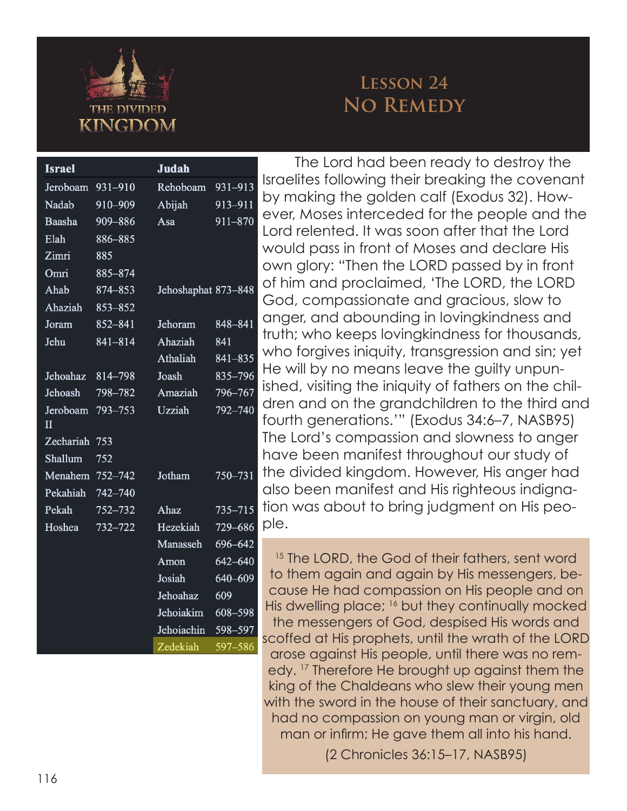

## **Lesson 24 No Remedy**

| <b>Israel</b>                       |         | <b>Judah</b>        |             |
|-------------------------------------|---------|---------------------|-------------|
| Jeroboam                            | 931-910 | Rehoboam            | 931-913     |
| Nadab                               | 910-909 | Abijah              | 913-911     |
| Baasha                              | 909-886 | Asa                 | 911-870     |
| Elah                                | 886-885 |                     |             |
| Zimri                               | 885     |                     |             |
| Omri                                | 885-874 |                     |             |
| Ahab                                | 874-853 | Jehoshaphat 873-848 |             |
| Ahaziah                             | 853-852 |                     |             |
| Joram                               | 852-841 | Jehoram             | 848-841     |
| Jehu                                | 841-814 | Ahaziah             | 841         |
|                                     |         | Athaliah            | 841-835     |
| Jehoahaz                            | 814-798 | Joash               | 835-796     |
| Jehoash                             | 798-782 | Amaziah             | 796-767     |
| Jeroboam<br>$\overline{\mathbf{H}}$ | 793-753 | Uzziah              | $792 - 740$ |
| Zechariah                           | 753     |                     |             |
| Shallum                             | 752     |                     |             |
| Menahem 752-742                     |         | Jotham              | 750-731     |
| Pekahiah 742-740                    |         |                     |             |
| Pekah                               | 752-732 | Ahaz                | $735 - 715$ |
| Hoshea                              | 732-722 | Hezekiah            | $729 - 686$ |
|                                     |         | Manasseh            | 696-642     |
|                                     |         | Amon                | 642-640     |
|                                     |         | Josiah              | 640-609     |
|                                     |         | Jehoahaz            | 609         |
|                                     |         | Jehoiakim           | 608-598     |
|                                     |         | Jehoiachin          | 598-597     |
|                                     |         | Zedekiah            | 597-586     |

The Lord had been ready to destroy the Israelites following their breaking the covenant by making the golden calf (Exodus 32). How ever, Moses interceded for the people and the Lord relented. It was soon after that the Lord would pass in front of Moses and declare His own glory: "Then the LORD passed by in front of him and proclaimed, 'The LORD, the LORD God, compassionate and gracious, slow to anger, and abounding in lovingkindness and truth; who keeps lovingkindness for thousands, who forgives iniquity, transgression and sin; yet He will by no means leave the guilty unpun ished, visiting the iniquity of fathers on the chil dren and on the grandchildren to the third and fourth generations.'" (Exodus 34:6–7, NASB95) The Lord's compassion and slowness to anger have been manifest throughout our study of the divided kingdom. However, His anger had also been manifest and His righteous indigna tion was about to bring judgment on His peo ple.

<sup>15</sup> The LORD, the God of their fathers, sent word to them again and again by His messengers, be cause He had compassion on His people and on His dwelling place; <sup>16</sup> but they continually mocked the messengers of God, despised His words and scoffed at His prophets, until the wrath of the LORD arose against His people, until there was no rem edy. 17 Therefore He brought up against them the king of the Chaldeans who slew their young men with the sword in the house of their sanctuary, and had no compassion on young man or virgin, old man or infirm; He gave them all into his hand.

(2 Chronicles 36:15–17, NASB95)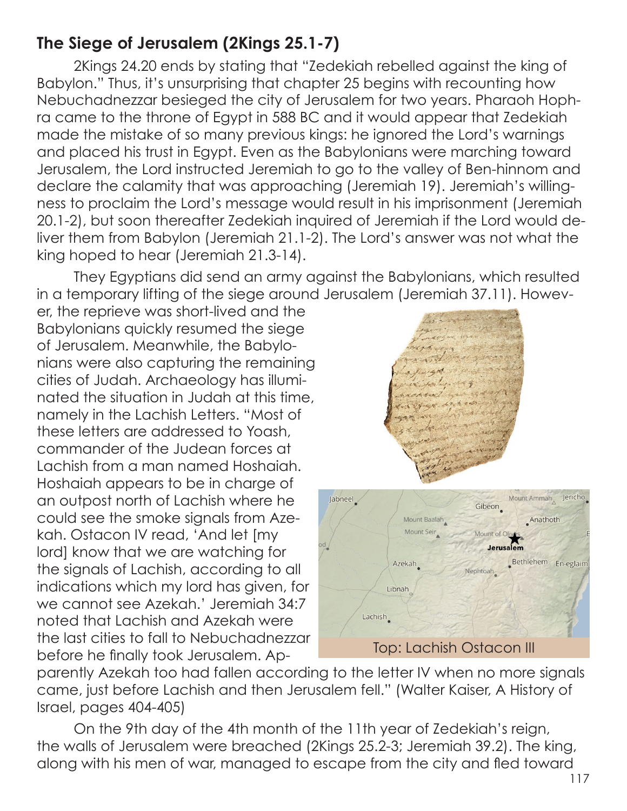## **The Siege of Jerusalem (2Kings 25.1-7)**

2Kings 24.20 ends by stating that "Zedekiah rebelled against the king of Babylon." Thus, it's unsurprising that chapter 25 begins with recounting how Nebuchadnezzar besieged the city of Jerusalem for two years. Pharaoh Hophra came to the throne of Egypt in 588 BC and it would appear that Zedekiah made the mistake of so many previous kings: he ignored the Lord's warnings and placed his trust in Egypt. Even as the Babylonians were marching toward Jerusalem, the Lord instructed Jeremiah to go to the valley of Ben-hinnom and declare the calamity that was approaching (Jeremiah 19). Jeremiah's willingness to proclaim the Lord's message would result in his imprisonment (Jeremiah 20.1-2), but soon thereafter Zedekiah inquired of Jeremiah if the Lord would deliver them from Babylon (Jeremiah 21.1-2). The Lord's answer was not what the king hoped to hear (Jeremiah 21.3-14).

They Egyptians did send an army against the Babylonians, which resulted in a temporary lifting of the siege around Jerusalem (Jeremiah 37.11). Howev-

er, the reprieve was short-lived and the Babylonians quickly resumed the siege of Jerusalem. Meanwhile, the Babylonians were also capturing the remaining cities of Judah. Archaeology has illuminated the situation in Judah at this time, namely in the Lachish Letters. "Most of these letters are addressed to Yoash, commander of the Judean forces at Lachish from a man named Hoshaiah. Hoshaiah appears to be in charge of an outpost north of Lachish where he could see the smoke signals from Azekah. Ostacon IV read, 'And let [my lord] know that we are watching for the signals of Lachish, according to all indications which my lord has given, for we cannot see Azekah.' Jeremiah 34:7 noted that Lachish and Azekah were the last cities to fall to Nebuchadnezzar before he finally took Jerusalem. Ap-



parently Azekah too had fallen according to the letter IV when no more signals came, just before Lachish and then Jerusalem fell." (Walter Kaiser, A History of Israel, pages 404-405)

On the 9th day of the 4th month of the 11th year of Zedekiah's reign, the walls of Jerusalem were breached (2Kings 25.2-3; Jeremiah 39.2). The king, along with his men of war, managed to escape from the city and fled toward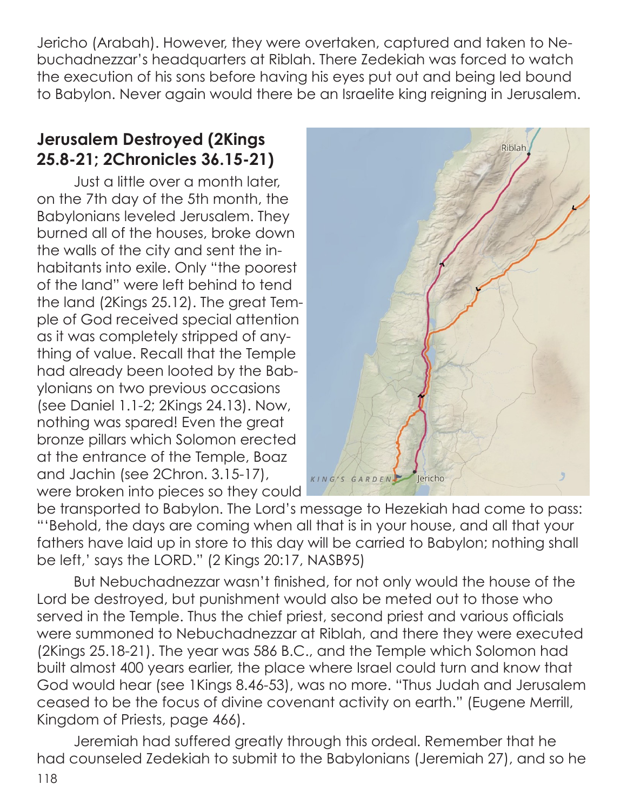Jericho (Arabah). However, they were overtaken, captured and taken to Nebuchadnezzar's headquarters at Riblah. There Zedekiah was forced to watch the execution of his sons before having his eyes put out and being led bound to Babylon. Never again would there be an Israelite king reigning in Jerusalem.

## **Jerusalem Destroyed (2Kings 25.8-21; 2Chronicles 36.15-21)**

Just a little over a month later, on the 7th day of the 5th month, the Babylonians leveled Jerusalem. They burned all of the houses, broke down the walls of the city and sent the inhabitants into exile. Only "the poorest of the land" were left behind to tend the land (2Kings 25.12). The great Temple of God received special attention as it was completely stripped of anything of value. Recall that the Temple had already been looted by the Babylonians on two previous occasions (see Daniel 1.1-2; 2Kings 24.13). Now, nothing was spared! Even the great bronze pillars which Solomon erected at the entrance of the Temple, Boaz and Jachin (see 2Chron. 3.15-17), were broken into pieces so they could



be transported to Babylon. The Lord's message to Hezekiah had come to pass: "'Behold, the days are coming when all that is in your house, and all that your fathers have laid up in store to this day will be carried to Babylon; nothing shall be left,' says the LORD." (2 Kings 20:17, NASB95)

But Nebuchadnezzar wasn't finished, for not only would the house of the Lord be destroyed, but punishment would also be meted out to those who served in the Temple. Thus the chief priest, second priest and various officials were summoned to Nebuchadnezzar at Riblah, and there they were executed (2Kings 25.18-21). The year was 586 B.C., and the Temple which Solomon had built almost 400 years earlier, the place where Israel could turn and know that God would hear (see 1Kings 8.46-53), was no more. "Thus Judah and Jerusalem ceased to be the focus of divine covenant activity on earth." (Eugene Merrill, Kingdom of Priests, page 466).

Jeremiah had suffered greatly through this ordeal. Remember that he had counseled Zedekiah to submit to the Babylonians (Jeremiah 27), and so he